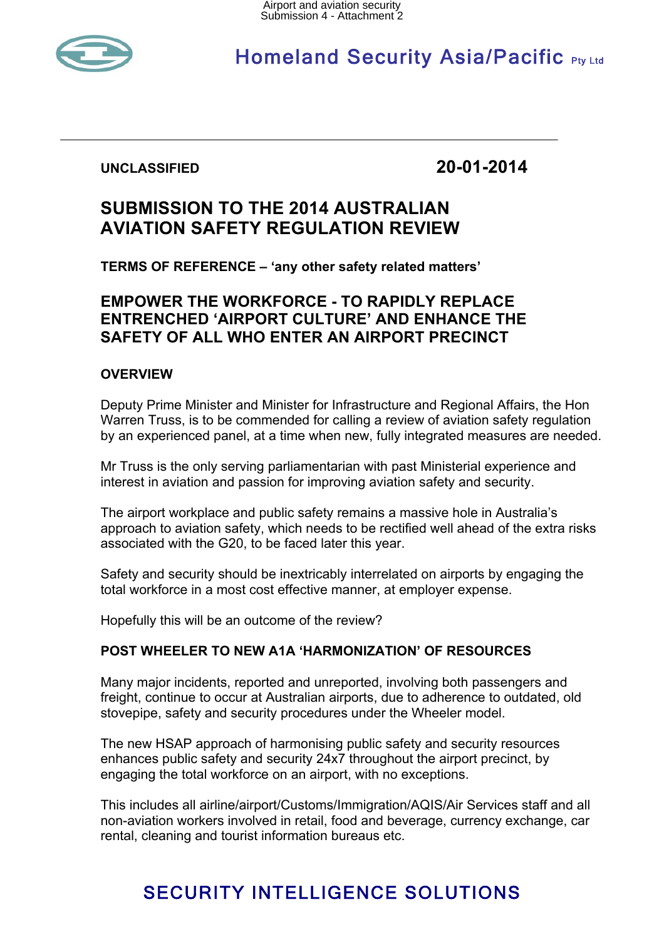

# **Homeland Security Asia/Pacific Pty Ltd**

**UNCLASSIFIED 20-01-2014**

# **SUBMISSION TO THE 2014 AUSTRALIAN AVIATION SAFETY REGULATION REVIEW**

**TERMS OF REFERENCE – 'any other safety related matters'**

# **EMPOWER THE WORKFORCE - TO RAPIDLY REPLACE ENTRENCHED 'AIRPORT CULTURE' AND ENHANCE THE SAFETY OF ALL WHO ENTER AN AIRPORT PRECINCT**

# **OVERVIEW**

Deputy Prime Minister and Minister for Infrastructure and Regional Affairs, the Hon Warren Truss, is to be commended for calling a review of aviation safety regulation by an experienced panel, at a time when new, fully integrated measures are needed.

Mr Truss is the only serving parliamentarian with past Ministerial experience and interest in aviation and passion for improving aviation safety and security.

The airport workplace and public safety remains a massive hole in Australia's approach to aviation safety, which needs to be rectified well ahead of the extra risks associated with the G20, to be faced later this year.

Safety and security should be inextricably interrelated on airports by engaging the total workforce in a most cost effective manner, at employer expense.

Hopefully this will be an outcome of the review?

## **POST WHEELER TO NEW A1A 'HARMONIZATION' OF RESOURCES**

Many major incidents, reported and unreported, involving both passengers and freight, continue to occur at Australian airports, due to adherence to outdated, old stovepipe, safety and security procedures under the Wheeler model.

The new HSAP approach of harmonising public safety and security resources enhances public safety and security 24x7 throughout the airport precinct, by engaging the total workforce on an airport, with no exceptions.

This includes all airline/airport/Customs/Immigration/AQIS/Air Services staff and all non-aviation workers involved in retail, food and beverage, currency exchange, car rental, cleaning and tourist information bureaus etc.

# SECURITY INTELLIGENCE SOLUTIONS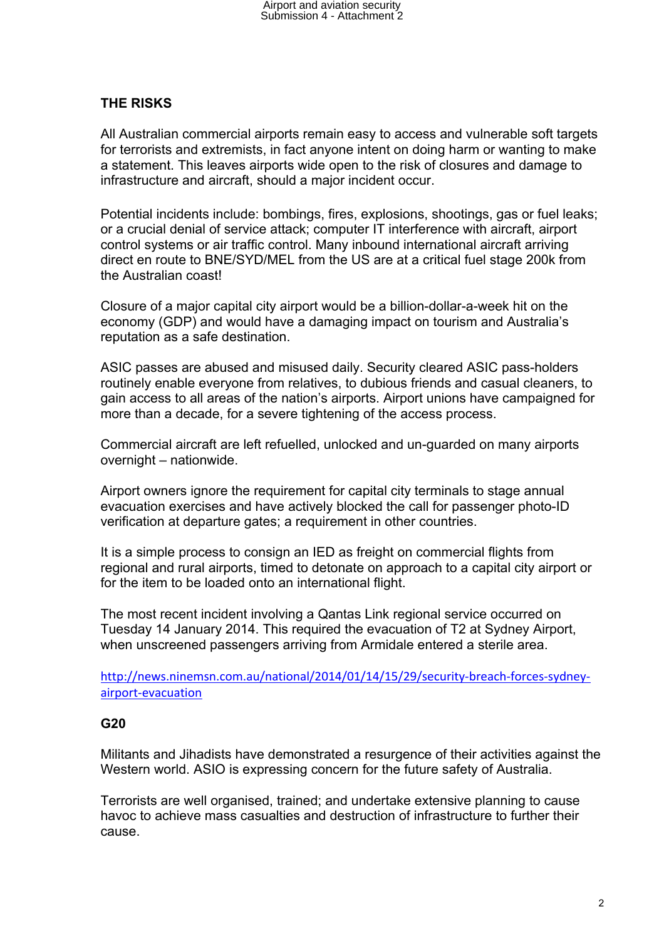### **THE RISKS**

All Australian commercial airports remain easy to access and vulnerable soft targets for terrorists and extremists, in fact anyone intent on doing harm or wanting to make a statement. This leaves airports wide open to the risk of closures and damage to infrastructure and aircraft, should a major incident occur.

Potential incidents include: bombings, fires, explosions, shootings, gas or fuel leaks; or a crucial denial of service attack; computer IT interference with aircraft, airport control systems or air traffic control. Many inbound international aircraft arriving direct en route to BNE/SYD/MEL from the US are at a critical fuel stage 200k from the Australian coast!

Closure of a major capital city airport would be a billion-dollar-a-week hit on the economy (GDP) and would have a damaging impact on tourism and Australia's reputation as a safe destination.

ASIC passes are abused and misused daily. Security cleared ASIC pass-holders routinely enable everyone from relatives, to dubious friends and casual cleaners, to gain access to all areas of the nation's airports. Airport unions have campaigned for more than a decade, for a severe tightening of the access process.

Commercial aircraft are left refuelled, unlocked and un-guarded on many airports overnight – nationwide.

Airport owners ignore the requirement for capital city terminals to stage annual evacuation exercises and have actively blocked the call for passenger photo-ID verification at departure gates; a requirement in other countries.

It is a simple process to consign an IED as freight on commercial flights from regional and rural airports, timed to detonate on approach to a capital city airport or for the item to be loaded onto an international flight.

The most recent incident involving a Qantas Link regional service occurred on Tuesday 14 January 2014. This required the evacuation of T2 at Sydney Airport, when unscreened passengers arriving from Armidale entered a sterile area.

http://news.ninemsn.com.au/national/2014/01/14/15/29/security-breach-forces-sydneyairport:evacuation

#### **G20**

Militants and Jihadists have demonstrated a resurgence of their activities against the Western world. ASIO is expressing concern for the future safety of Australia.

Terrorists are well organised, trained; and undertake extensive planning to cause havoc to achieve mass casualties and destruction of infrastructure to further their cause.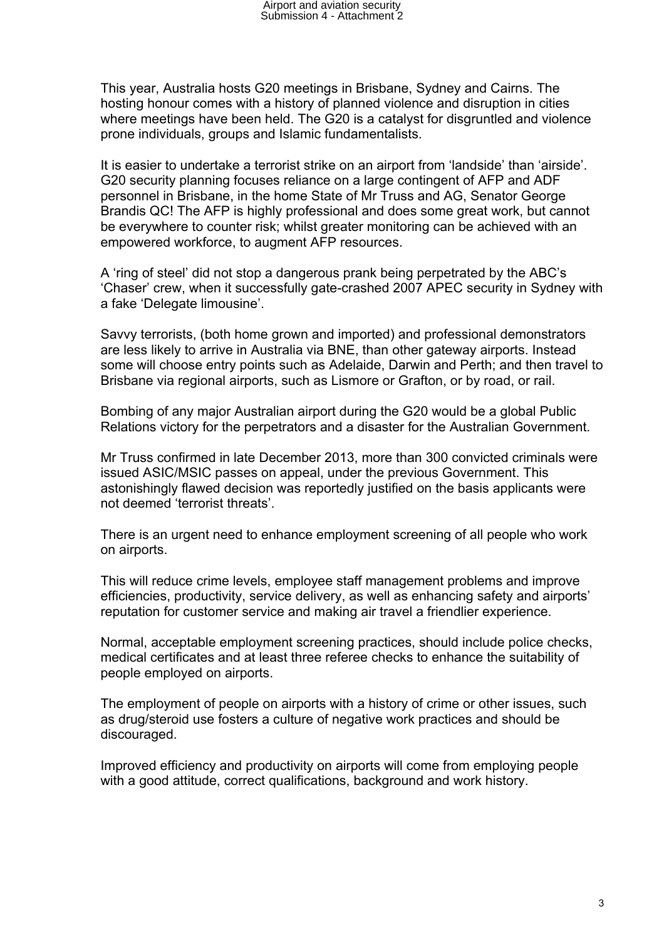This year, Australia hosts G20 meetings in Brisbane, Sydney and Cairns. The hosting honour comes with a history of planned violence and disruption in cities where meetings have been held. The G20 is a catalyst for disgruntled and violence prone individuals, groups and Islamic fundamentalists.

It is easier to undertake a terrorist strike on an airport from 'landside' than 'airside'. G20 security planning focuses reliance on a large contingent of AFP and ADF personnel in Brisbane, in the home State of Mr Truss and AG, Senator George Brandis QC! The AFP is highly professional and does some great work, but cannot be everywhere to counter risk; whilst greater monitoring can be achieved with an empowered workforce, to augment AFP resources.

A 'ring of steel' did not stop a dangerous prank being perpetrated by the ABC's 'Chaser' crew, when it successfully gate-crashed 2007 APEC security in Sydney with a fake 'Delegate limousine'.

Savvy terrorists, (both home grown and imported) and professional demonstrators are less likely to arrive in Australia via BNE, than other gateway airports. Instead some will choose entry points such as Adelaide, Darwin and Perth; and then travel to Brisbane via regional airports, such as Lismore or Grafton, or by road, or rail.

Bombing of any major Australian airport during the G20 would be a global Public Relations victory for the perpetrators and a disaster for the Australian Government.

Mr Truss confirmed in late December 2013, more than 300 convicted criminals were issued ASIC/MSIC passes on appeal, under the previous Government. This astonishingly flawed decision was reportedly justified on the basis applicants were not deemed 'terrorist threats'.

There is an urgent need to enhance employment screening of all people who work on airports.

This will reduce crime levels, employee staff management problems and improve efficiencies, productivity, service delivery, as well as enhancing safety and airports' reputation for customer service and making air travel a friendlier experience.

Normal, acceptable employment screening practices, should include police checks, medical certificates and at least three referee checks to enhance the suitability of people employed on airports.

The employment of people on airports with a history of crime or other issues, such as drug/steroid use fosters a culture of negative work practices and should be discouraged.

Improved efficiency and productivity on airports will come from employing people with a good attitude, correct qualifications, background and work history.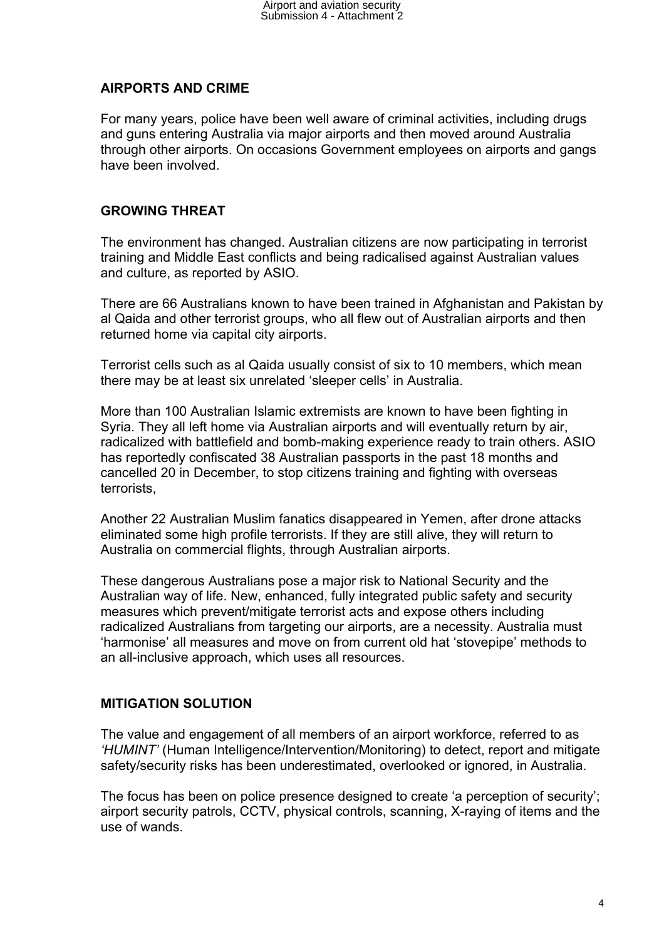# **AIRPORTS AND CRIME**

For many years, police have been well aware of criminal activities, including drugs and guns entering Australia via major airports and then moved around Australia through other airports. On occasions Government employees on airports and gangs have been involved.

## **GROWING THREAT**

The environment has changed. Australian citizens are now participating in terrorist training and Middle East conflicts and being radicalised against Australian values and culture, as reported by ASIO.

There are 66 Australians known to have been trained in Afghanistan and Pakistan by al Qaida and other terrorist groups, who all flew out of Australian airports and then returned home via capital city airports.

Terrorist cells such as al Qaida usually consist of six to 10 members, which mean there may be at least six unrelated 'sleeper cells' in Australia.

More than 100 Australian Islamic extremists are known to have been fighting in Syria. They all left home via Australian airports and will eventually return by air, radicalized with battlefield and bomb-making experience ready to train others. ASIO has reportedly confiscated 38 Australian passports in the past 18 months and cancelled 20 in December, to stop citizens training and fighting with overseas terrorists,

Another 22 Australian Muslim fanatics disappeared in Yemen, after drone attacks eliminated some high profile terrorists. If they are still alive, they will return to Australia on commercial flights, through Australian airports.

These dangerous Australians pose a major risk to National Security and the Australian way of life. New, enhanced, fully integrated public safety and security measures which prevent/mitigate terrorist acts and expose others including radicalized Australians from targeting our airports, are a necessity. Australia must 'harmonise' all measures and move on from current old hat 'stovepipe' methods to an all-inclusive approach, which uses all resources.

## **MITIGATION SOLUTION**

The value and engagement of all members of an airport workforce, referred to as *'HUMINT'* (Human Intelligence/Intervention/Monitoring) to detect, report and mitigate safety/security risks has been underestimated, overlooked or ignored, in Australia.

The focus has been on police presence designed to create 'a perception of security'; airport security patrols, CCTV, physical controls, scanning, X-raying of items and the use of wands.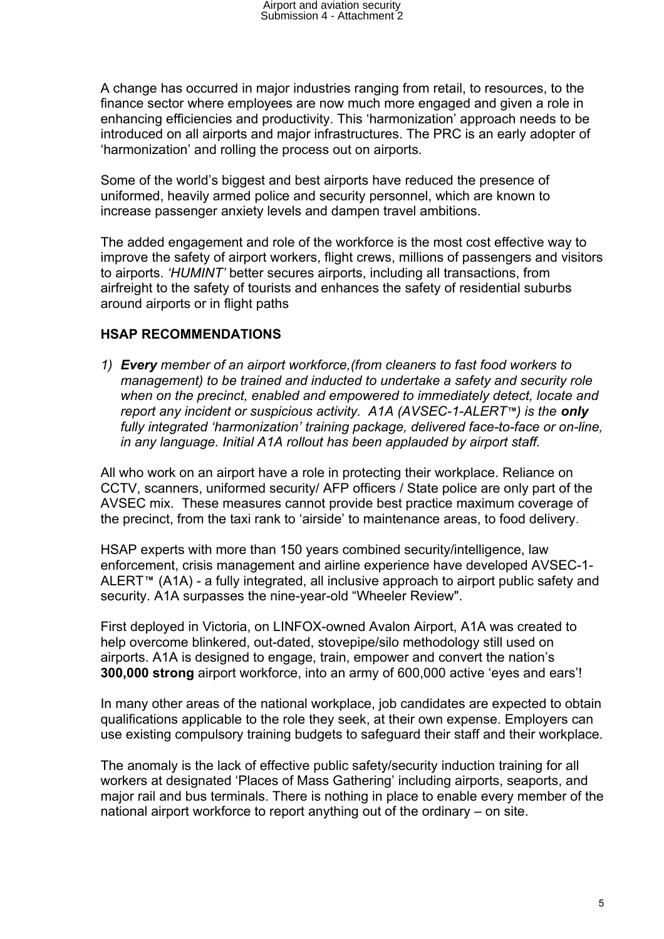A change has occurred in major industries ranging from retail, to resources, to the finance sector where employees are now much more engaged and given a role in enhancing efficiencies and productivity. This 'harmonization' approach needs to be introduced on all airports and major infrastructures. The PRC is an early adopter of 'harmonization' and rolling the process out on airports.

Some of the world's biggest and best airports have reduced the presence of uniformed, heavily armed police and security personnel, which are known to increase passenger anxiety levels and dampen travel ambitions.

The added engagement and role of the workforce is the most cost effective way to improve the safety of airport workers, flight crews, millions of passengers and visitors to airports. *'HUMINT'* better secures airports, including all transactions, from airfreight to the safety of tourists and enhances the safety of residential suburbs around airports or in flight paths

#### **HSAP RECOMMENDATIONS**

*1) Every member of an airport workforce,(from cleaners to fast food workers to management) to be trained and inducted to undertake a safety and security role when on the precinct, enabled and empowered to immediately detect, locate and report any incident or suspicious activity. A1A (AVSEC-1-ALERT<sup>M</sup>) is the only fully integrated 'harmonization' training package, delivered face-to-face or on-line, in any language. Initial A1A rollout has been applauded by airport staff.*

All who work on an airport have a role in protecting their workplace. Reliance on CCTV, scanners, uniformed security/ AFP officers / State police are only part of the AVSEC mix. These measures cannot provide best practice maximum coverage of the precinct, from the taxi rank to 'airside' to maintenance areas, to food delivery.

HSAP experts with more than 150 years combined security/intelligence, law enforcement, crisis management and airline experience have developed AVSEC-1- ALERT<sup>™</sup> (A1A) - a fully integrated, all inclusive approach to airport public safety and security. A1A surpasses the nine-year-old "Wheeler Review".

First deployed in Victoria, on LINFOX-owned Avalon Airport, A1A was created to help overcome blinkered, out-dated, stovepipe/silo methodology still used on airports. A1A is designed to engage, train, empower and convert the nation's **300,000 strong** airport workforce, into an army of 600,000 active 'eyes and ears'!

In many other areas of the national workplace, job candidates are expected to obtain qualifications applicable to the role they seek, at their own expense. Employers can use existing compulsory training budgets to safeguard their staff and their workplace.

The anomaly is the lack of effective public safety/security induction training for all workers at designated 'Places of Mass Gathering' including airports, seaports, and major rail and bus terminals. There is nothing in place to enable every member of the national airport workforce to report anything out of the ordinary – on site.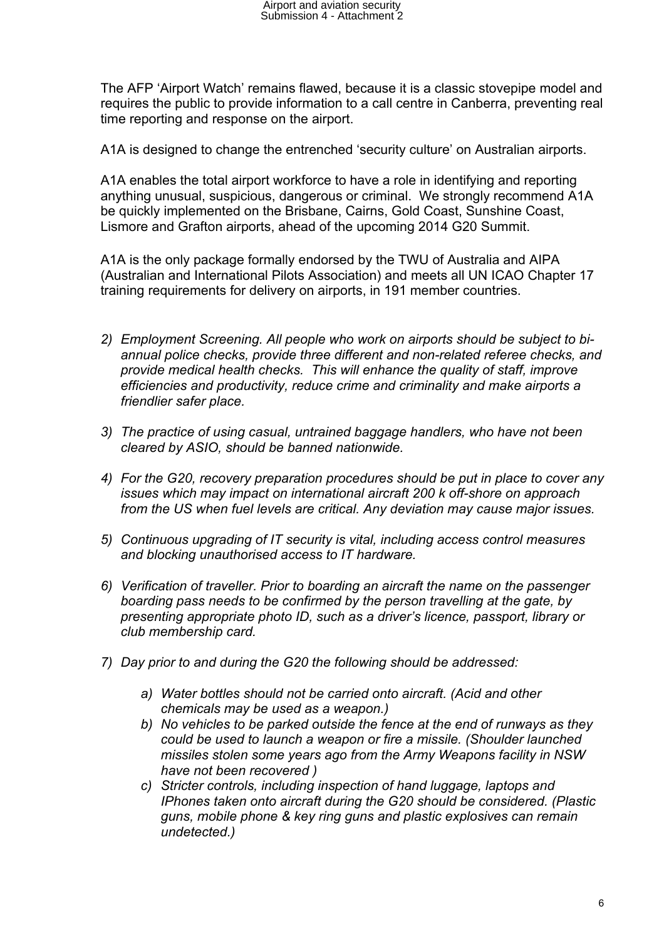The AFP 'Airport Watch' remains flawed, because it is a classic stovepipe model and requires the public to provide information to a call centre in Canberra, preventing real time reporting and response on the airport.

A1A is designed to change the entrenched 'security culture' on Australian airports.

A1A enables the total airport workforce to have a role in identifying and reporting anything unusual, suspicious, dangerous or criminal. We strongly recommend A1A be quickly implemented on the Brisbane, Cairns, Gold Coast, Sunshine Coast, Lismore and Grafton airports, ahead of the upcoming 2014 G20 Summit.

A1A is the only package formally endorsed by the TWU of Australia and AIPA (Australian and International Pilots Association) and meets all UN ICAO Chapter 17 training requirements for delivery on airports, in 191 member countries.

- *2) Employment Screening. All people who work on airports should be subject to biannual police checks, provide three different and non-related referee checks, and provide medical health checks. This will enhance the quality of staff, improve efficiencies and productivity, reduce crime and criminality and make airports a friendlier safer place.*
- *3) The practice of using casual, untrained baggage handlers, who have not been cleared by ASIO, should be banned nationwide.*
- *4) For the G20, recovery preparation procedures should be put in place to cover any issues which may impact on international aircraft 200 k off-shore on approach from the US when fuel levels are critical. Any deviation may cause major issues.*
- *5) Continuous upgrading of IT security is vital, including access control measures and blocking unauthorised access to IT hardware.*
- *6) Verification of traveller. Prior to boarding an aircraft the name on the passenger boarding pass needs to be confirmed by the person travelling at the gate, by presenting appropriate photo ID, such as a driver's licence, passport, library or club membership card.*
- *7) Day prior to and during the G20 the following should be addressed:*
	- *a) Water bottles should not be carried onto aircraft. (Acid and other chemicals may be used as a weapon.)*
	- *b) No vehicles to be parked outside the fence at the end of runways as they could be used to launch a weapon or fire a missile. (Shoulder launched missiles stolen some years ago from the Army Weapons facility in NSW have not been recovered )*
	- *c) Stricter controls, including inspection of hand luggage, laptops and IPhones taken onto aircraft during the G20 should be considered. (Plastic guns, mobile phone & key ring guns and plastic explosives can remain undetected.)*